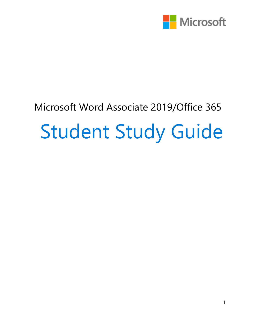

# Microsoft Word Associate 2019/Office 365 Student Study Guide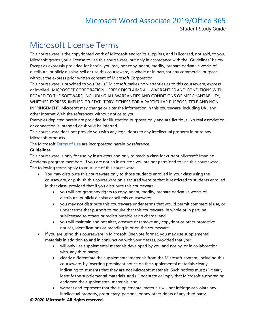Student Study Guide

## Microsoft License Terms

This courseware is the copyrighted work of Microsoft and/or its suppliers, and is licensed, not sold, to you. Microsoft grants you a license to use this courseware, but only in accordance with the "Guidelines" below. Except as expressly provided for herein, you may not copy, adapt, modify, prepare derivative works of, distribute, publicly display, sell or use this courseware, in whole or in part, for any commercial purpose without the express prior written consent of Microsoft Corporation.

This courseware is provided to you "as-is." Microsoft makes no warranties as to this courseware, express or implied. MICROSOFT CORPORATION HEREBY DISCLAIMS ALL WARRANTIES AND CONDITIONS WITH REGARD TO THE SOFTWARE, INCLUDING ALL WARRANTIES AND CONDITIONS OF MERCHANTABILITY, WHETHER EXPRESS, IMPLIED OR STATUTORY, FITNESS FOR A PARTICULAR PURPOSE, TITLE AND NON-INFRINGEMENT. Microsoft may change or alter the information in this courseware, including URL and other Internet Web site references, without notice to you.

Examples depicted herein are provided for illustration purposes only and are fictitious. No real association or connection is intended or should be inferred.

This courseware does not provide you with any legal rights to any intellectual property in or to any Microsoft products.

The Microsoft [Terms of Use](https://aka.ms/accept_or_reject_changes) are incorporated herein by reference.

#### **Guidelines**

This courseware is only for use by instructors and only to teach a class for current Microsoft Imagine Academy program members. If you are not an instructor, you are not permitted to use this courseware. The following terms apply to your use of this courseware:

- You may distribute this courseware only to those students enrolled in your class using the courseware, or publish this courseware on a secured website that is restricted to students enrolled in that class, provided that if you distribute this courseware:
	- you will not grant any rights to copy, adapt, modify, prepare derivative works of, distribute, publicly display or sell this courseware;
	- you may not distribute this courseware under terms that would permit commercial use, or under terms that purport to require that this courseware, in whole or in part, be sublicensed to others or redistributable at no charge; and
	- you will maintain and not alter, obscure or remove any copyright or other protective notices, identifications or branding in or on the courseware.
- If you are using this courseware in Microsoft OneNote format, you may use supplemental materials in addition to and in conjunction with your classes, provided that you:
	- will only use supplemental materials developed by you and not by, or in collaboration with, any third party;
	- clearly differentiate the supplemental materials from the Microsoft content, including this courseware, by inserting prominent notice on the supplemental materials clearly indicating to students that they are not Microsoft materials. Such notices must: (i) clearly identify the supplemental materials, and (ii) not state or imply that Microsoft authored or endorsed the supplemental materials; and
	- warrant and represent that the supplemental materials will not infringe or violate any intellectual property, proprietary, personal or any other rights of any third party.

#### **© 2020 Microsoft. All rights reserved.**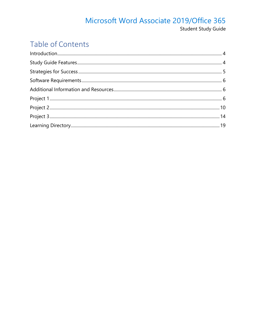#### Microsoft Word Associate 2019/Office 365 Student Study Guide

## Table of Contents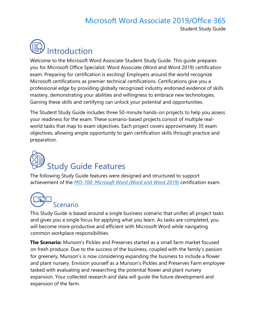

<span id="page-3-0"></span>

Welcome to the Microsoft Word Associate Student Study Guide. This guide prepares you for Microsoft Office Specialist: Word Associate (Word and Word 2019) certification exam. Preparing for certification is exciting! Employers around the world recognize Microsoft certifications as premier technical certifications. Certifications give you a professional edge by providing globally recognized industry endorsed evidence of skills mastery, demonstrating your abilities and willingness to embrace new technologies. Gaining these skills and certifying can unlock your potential and opportunities.

The Student Study Guide includes three 50-minute hands-on projects to help you assess your readiness for the exam. These scenario-based projects consist of multiple realworld tasks that map to exam objectives. Each project covers approximately 35 exam objectives, allowing ample opportunity to gain certification skills through practice and preparation.

# <span id="page-3-1"></span>Study Guide Features

The following Study Guide features were designed and structured to support achievement of the *[MO-100: Microsoft Word \(Word and Word 2019\)](https://aka.ms/change_margins)* certification exam.

## Scenario

This Study Guide is based around a single business scenario that unifies all project tasks and gives you a single focus for applying what you learn. As tasks are completed, you will become more productive and efficient with Microsoft Word while navigating common workplace responsibilities.

**The Scenario:** Munson's Pickles and Preserves started as a small farm market focused on fresh produce. Due to the success of the business, coupled with the family's passion for greenery, Munson's is now considering expanding the business to include a flower and plant nursery. Envision yourself as a Munson's Pickles and Preserves Farm employee tasked with evaluating and researching the potential flower and plant nursery expansion. Your collected research and data will guide the future development and expansion of the farm.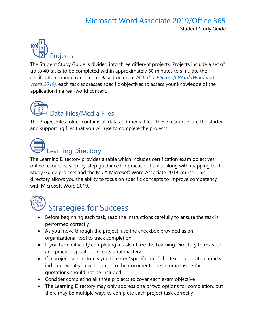Student Study Guide



The Student Study Guide is divided into three different projects. Projects include a set of up to 40 tasks to be completed within approximately 50 minutes to simulate the certification exam environment. Based on exam *[MO-100: Microsoft Word \(Word and](https://aka.ms/MO-100_Microsoft_Word)  [Word 2019\)](https://aka.ms/MO-100_Microsoft_Word)*, each task addresses specific objectives to assess your knowledge of the application in a real-world context.

## Data Files/Media Files

The Project Files folder contains all data and media files. These resources are the starter and supporting files that you will use to complete the projects.



## Learning Directory

The Learning Directory provides a table which includes certification exam objectives, online resources, step-by-step guidance for practice of skills, along with mapping to the Study Guide projects and the MSIA Microsoft Word Associate 2019 course. This directory allows you the ability to focus on specific concepts to improve competency with Microsoft Word 2019.

<span id="page-4-0"></span>

## Strategies for Success

- Before beginning each task, read the instructions carefully to ensure the task is performed correctly
- As you move through the project, use the checkbox provided as an organizational tool to track completion
- If you have difficulty completing a task, utilize the Learning Directory to research and practice specific concepts until mastery
- If a project task instructs you to enter "specific text," the text in quotation marks indicates what you will input into the document. The comma inside the quotations should not be included
- Consider completing all three projects to cover each exam objective
- The Learning Directory may only address one or two options for completion, but there may be multiple ways to complete each project task correctly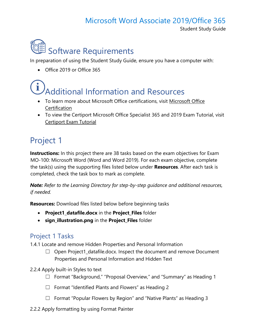<span id="page-5-0"></span>Student Study Guide



In preparation of using the Student Study Guide, ensure you have a computer with:

• Office 2019 or Office 365

## <span id="page-5-1"></span>Additional Information and Resources

- To learn more about Microsoft Office certifications, visit [Microsoft Office](https://aka.ms/get_creative_with_3D_models)  **[Certification](https://aka.ms/get_creative_with_3D_models)**
- To view the Certiport Microsoft Office Specialist 365 and 2019 Exam Tutorial, visit [Certiport Exam Tutorial](https://aka.ms/add-alternative-text-to-a-shape-picture-chart-smartart-graphic-or-other-object)

## <span id="page-5-2"></span>Project 1

**Instructions:** In this project there are 38 tasks based on the exam objectives for Exam MO-100: Microsoft Word (Word and Word 2019). For each exam objective, complete the task(s) using the supporting files listed below under **Resources**. After each task is completed, check the task box to mark as complete.

*Note: Refer to the Learning Directory for step-by-step guidance and additional resources, if needed.*

**Resources:** Download files listed below before beginning tasks

- **Project1\_datafile.docx** in the **Project\_Files** folder
- **sign\_illustration.png** in the **Project\_Files** folder

#### Project 1 Tasks

1.4.1 Locate and remove Hidden Properties and Personal Information

- $\Box$  Open Project1\_datafile.docx. Inspect the document and remove Document Properties and Personal Information and Hidden Text
- 2.2.4 Apply built-in Styles to text
	- ☐ Format "Background," "Proposal Overview," and "Summary" as Heading 1
	- ☐ Format "Identified Plants and Flowers" as Heading 2
	- ☐ Format "Popular Flowers by Region" and "Native Plants" as Heading 3
- 2.2.2 Apply formatting by using Format Painter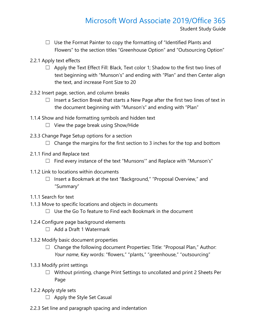Student Study Guide

- $\Box$  Use the Format Painter to copy the formatting of "Identified Plants and Flowers" to the section titles "Greenhouse Option" and "Outsourcing Option"
- 2.2.1 Apply text effects
	- $\Box$  Apply the Text Effect Fill: Black, Text color 1; Shadow to the first two lines of text beginning with "Munson's" and ending with "Plan" and then Center align the text, and increase Font Size to 20
- 2.3.2 Insert page, section, and column breaks
	- $\Box$  Insert a Section Break that starts a New Page after the first two lines of text in the document beginning with "Munson's" and ending with "Plan"
- 1.1.4 Show and hide formatting symbols and hidden text
	- $\Box$  View the page break using Show/Hide
- 2.3.3 Change Page Setup options for a section
	- $\Box$  Change the margins for the first section to 3 inches for the top and bottom
- 2.1.1 Find and Replace text
	- ☐ Find every instance of the text "Munsons'" and Replace with "Munson's"
- 1.1.2 Link to locations within documents
	- ☐ Insert a Bookmark at the text "Background," "Proposal Overview," and "Summary"
- 1.1.1 Search for text
- 1.1.3 Move to specific locations and objects in documents
	- $\Box$  Use the Go To feature to Find each Bookmark in the document
- 1.2.4 Configure page background elements
	- ☐ Add a Draft 1 Watermark
- 1.3.2 Modify basic document properties
	- ☐ Change the following document Properties: Title: "Proposal Plan," Author: *Your name*, Key words: "flowers," "plants," "greenhouse," "outsourcing"
- 1.3.3 Modify print settings
	- ☐ Without printing, change Print Settings to uncollated and print 2 Sheets Per Page
- 1.2.2 Apply style sets
	- $\Box$  Apply the Style Set Casual
- 2.2.3 Set line and paragraph spacing and indentation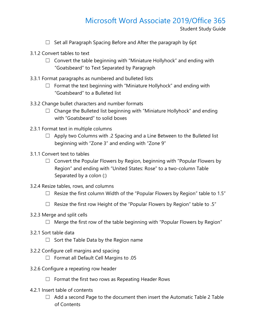Student Study Guide

- $\Box$  Set all Paragraph Spacing Before and After the paragraph by 6pt
- 3.1.2 Convert tables to text
	- $\Box$  Convert the table beginning with "Miniature Hollyhock" and ending with "Goatsbeard" to Text Separated by Paragraph
- 3.3.1 Format paragraphs as numbered and bulleted lists
	- $\Box$  Format the text beginning with "Miniature Hollyhock" and ending with "Goatsbeard" to a Bulleted list
- 3.3.2 Change bullet characters and number formats
	- $\Box$  Change the Bulleted list beginning with "Miniature Hollyhock" and ending with "Goatsbeard" to solid boxes
- 2.3.1 Format text in multiple columns
	- $\Box$  Apply two Columns with .2 Spacing and a Line Between to the Bulleted list beginning with "Zone 3" and ending with "Zone 9"
- 3.1.1 Convert text to tables
	- $\Box$  Convert the Popular Flowers by Region, beginning with "Popular Flowers by Region" and ending with "United States: Rose" to a two-column Table Separated by a colon (:)
- 3.2.4 Resize tables, rows, and columns
	- $\Box$  Resize the first column Width of the "Popular Flowers by Region" table to 1.5"
	- □ Resize the first row Height of the "Popular Flowers by Region" table to .5"
- 3.2.3 Merge and split cells
	- $\Box$  Merge the first row of the table beginning with "Popular Flowers by Region"
- 3.2.1 Sort table data
	- $\Box$  Sort the Table Data by the Region name
- 3.2.2 Configure cell margins and spacing
	- ☐ Format all Default Cell Margins to .05
- 3.2.6 Configure a repeating row header
	- $\Box$  Format the first two rows as Repeating Header Rows
- 4.2.1 Insert table of contents
	- $\Box$  Add a second Page to the document then insert the Automatic Table 2 Table of Contents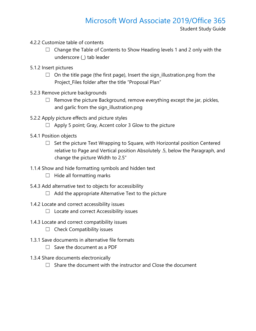- 4.2.2 Customize table of contents
	- $\Box$  Change the Table of Contents to Show Heading levels 1 and 2 only with the underscore (\_) tab leader
- 5.1.2 Insert pictures
	- $\Box$  On the title page (the first page), Insert the sign\_illustration.png from the Project\_Files folder after the title "Proposal Plan"
- 5.2.3 Remove picture backgrounds
	- $\Box$  Remove the picture Background, remove everything except the jar, pickles, and garlic from the sign\_illustration.png
- 5.2.2 Apply picture effects and picture styles
	- $\Box$  Apply 5 point; Gray, Accent color 3 Glow to the picture
- 5.4.1 Position objects
	- $\Box$  Set the picture Text Wrapping to Square, with Horizontal position Centered relative to Page and Vertical position Absolutely .5, below the Paragraph, and change the picture Width to 2.5"
- 1.1.4 Show and hide formatting symbols and hidden text
	- $\Box$  Hide all formatting marks
- 5.4.3 Add alternative text to objects for accessibility
	- $\Box$  Add the appropriate Alternative Text to the picture
- 1.4.2 Locate and correct accessibility issues
	- $\Box$  Locate and correct Accessibility issues
- 1.4.3 Locate and correct compatibility issues
	- $\Box$  Check Compatibility issues
- 1.3.1 Save documents in alternative file formats
	- $\Box$  Save the document as a PDF
- 1.3.4 Share documents electronically
	- $\Box$  Share the document with the instructor and Close the document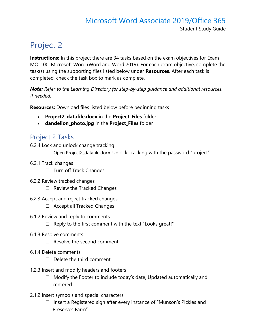#### Microsoft Word Associate 2019/Office 365 Student Study Guide

## <span id="page-9-0"></span>Project 2

**Instructions:** In this project there are 34 tasks based on the exam objectives for Exam MO-100: Microsoft Word (Word and Word 2019). For each exam objective, complete the task(s) using the supporting files listed below under **Resources**. After each task is completed, check the task box to mark as complete.

*Note: Refer to the Learning Directory for step-by-step guidance and additional resources, if needed.*

**Resources:** Download files listed below before beginning tasks

- **Project2\_datafile.docx** in the **Project\_Files** folder
- **dandelion\_photo.jpg** in the **Project\_Files** folder

#### Project 2 Tasks

6.2.4 Lock and unlock change tracking

- $\Box$  Open Project2\_datafile.docx. Unlock Tracking with the password "project"
- 6.2.1 Track changes
	- ☐ Turn off Track Changes
- 6.2.2 Review tracked changes
	- $\Box$  Review the Tracked Changes
- 6.2.3 Accept and reject tracked changes
	- ☐ Accept all Tracked Changes
- 6.1.2 Review and reply to comments
	- $\Box$  Reply to the first comment with the text "Looks great!"
- 6.1.3 Resolve comments
	- ☐ Resolve the second comment
- 6.1.4 Delete comments
	- $\Box$  Delete the third comment
- 1.2.3 Insert and modify headers and footers
	- $\Box$  Modify the Footer to include today's date, Updated automatically and centered
- 2.1.2 Insert symbols and special characters
	- □ Insert a Registered sign after every instance of "Munson's Pickles and Preserves Farm"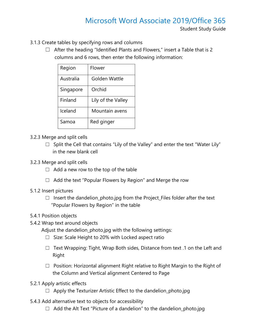- 3.1.3 Create tables by specifying rows and columns
	- $\Box$  After the heading "Identified Plants and Flowers," insert a Table that is 2 columns and 6 rows, then enter the following information:

| Region    | Flower             |
|-----------|--------------------|
| Australia | Golden Wattle      |
| Singapore | Orchid             |
| Finland   | Lily of the Valley |
| Iceland   | Mountain avens     |
| Samoa     | Red ginger         |

- 3.2.3 Merge and split cells
	- $\Box$  Split the Cell that contains "Lily of the Valley" and enter the text "Water Lily" in the new blank cell
- 3.2.3 Merge and split cells
	- $\Box$  Add a new row to the top of the table
	- ☐ Add the text "Popular Flowers by Region" and Merge the row
- 5.1.2 Insert pictures
	- $\Box$  Insert the dandelion photo.jpg from the Project Files folder after the text "Popular Flowers by Region" in the table
- 5.4.1 Position objects
- 5.4.2 Wrap text around objects
	- Adjust the dandelion\_photo.jpg with the following settings:
		- ☐ Size: Scale Height to 20% with Locked aspect ratio
		- $\Box$  Text Wrapping: Tight, Wrap Both sides, Distance from text .1 on the Left and Right
		- □ Position: Horizontal alignment Right relative to Right Margin to the Right of the Column and Vertical alignment Centered to Page
- 5.2.1 Apply artistic effects
	- $\Box$  Apply the Texturizer Artistic Effect to the dandelion photo.jpg
- 5.4.3 Add alternative text to objects for accessibility
	- $\Box$  Add the Alt Text "Picture of a dandelion" to the dandelion\_photo.jpg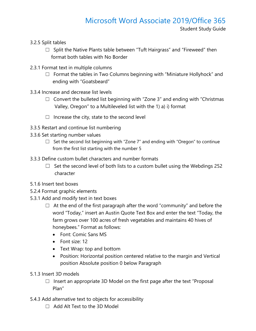- 3.2.5 Split tables
	- $\Box$  Split the Native Plants table between "Tuft Hairgrass" and "Fireweed" then format both tables with No Border
- 2.3.1 Format text in multiple columns
	- ☐ Format the tables in Two Columns beginning with "Miniature Hollyhock" and ending with "Goatsbeard"
- 3.3.4 Increase and decrease list levels
	- $\Box$  Convert the bulleted list beginning with "Zone 3" and ending with "Christmas" Valley, Oregon" to a Multileveled list with the 1) a) i) format
	- $\Box$  Increase the city, state to the second level
- 3.3.5 Restart and continue list numbering
- 3.3.6 Set starting number values
	- $\Box$  Set the second list beginning with "Zone 7" and ending with "Oregon" to continue from the first list starting with the number 5
- 3.3.3 Define custom bullet characters and number formats
	- $\Box$  Set the second level of both lists to a custom bullet using the Webdings 252 character
- 5.1.6 Insert text boxes
- 5.2.4 Format graphic elements
- 5.3.1 Add and modify text in text boxes
	- $\Box$  At the end of the first paragraph after the word "community" and before the word "Today," insert an Austin Quote Text Box and enter the text "Today, the farm grows over 100 acres of fresh vegetables and maintains 40 hives of honeybees." Format as follows:
		- Font: Comic Sans MS
		- Font size: 12
		- Text Wrap: top and bottom
		- Position: Horizontal position centered relative to the margin and Vertical position Absolute position 0 below Paragraph
- 5.1.3 Insert 3D models
	- $\Box$  Insert an appropriate 3D Model on the first page after the text "Proposal Plan"
- 5.4.3 Add alternative text to objects for accessibility
	- $\Box$  Add Alt Text to the 3D Model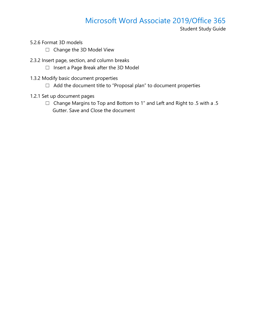Student Study Guide

- 5.2.6 Format 3D models
	- ☐ Change the 3D Model View
- 2.3.2 Insert page, section, and column breaks
	- ☐ Insert a Page Break after the 3D Model
- 1.3.2 Modify basic document properties
	- ☐ Add the document title to "Proposal plan" to document properties
- 1.2.1 Set up document pages
	- ☐ Change Margins to Top and Bottom to 1" and Left and Right to .5 with a .5 Gutter. Save and Close the document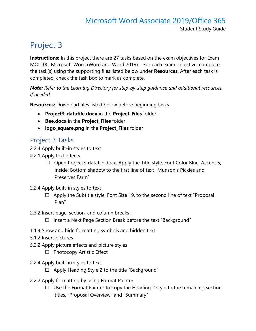## <span id="page-13-0"></span>Project 3

**Instructions:** In this project there are 27 tasks based on the exam objectives for Exam MO-100: Microsoft Word (Word and Word 2019). For each exam objective, complete the task(s) using the supporting files listed below under **Resources**. After each task is completed, check the task box to mark as complete.

*Note: Refer to the Learning Directory for step-by-step guidance and additional resources, if needed.*

**Resources:** Download files listed below before beginning tasks

- **Project3\_datafile.docx** in the **Project\_Files** folder
- **Bee.docx** in the **Project\_Files** folder
- **logo\_square.png** in the **Project\_Files** folder

#### Project 3 Tasks

- 2.2.4 Apply built-in styles to text
- 2.2.1 Apply text effects
	- $\Box$  Open Project3\_datafile.docx. Apply the Title style, Font Color Blue, Accent 5, Inside: Bottom shadow to the first line of text "Munson's Pickles and Preserves Farm"
- 2.2.4 Apply built-in styles to text
	- $\Box$  Apply the Subtitle style, Font Size 19, to the second line of text "Proposal Plan"
- 2.3.2 Insert page, section, and column breaks
	- ☐ Insert a Next Page Section Break before the text "Background"
- 1.1.4 Show and hide formatting symbols and hidden text
- 5.1.2 Insert pictures
- 5.2.2 Apply picture effects and picture styles
	- ☐ Photocopy Artistic Effect
- 2.2.4 Apply built-in styles to text
	- $\Box$  Apply Heading Style 2 to the title "Background"
- 2.2.2 Apply formatting by using Format Painter
	- $\Box$  Use the Format Painter to copy the Heading 2 style to the remaining section titles, "Proposal Overview" and "Summary"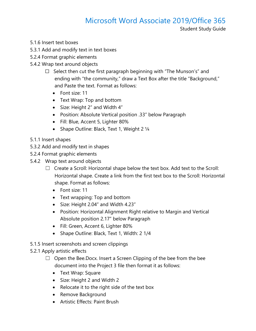Student Study Guide

- 5.1.6 Insert text boxes
- 5.3.1 Add and modify text in text boxes
- 5.2.4 Format graphic elements
- 5.4.2 Wrap text around objects
	- $\Box$  Select then cut the first paragraph beginning with "The Munson's" and ending with "the community," draw a Text Box after the title "Background," and Paste the text. Format as follows:
		- Font size: 11
		- Text Wrap: Top and bottom
		- Size: Height 2" and Width 4"
		- Position: Absolute Vertical position .33" below Paragraph
		- Fill: Blue, Accent 5, Lighter 80%
		- Shape Outline: Black, Text 1, Weight 2 1/4
- 5.1.1 Insert shapes
- 5.3.2 Add and modify text in shapes
- 5.2.4 Format graphic elements
- 5.4.2 Wrap text around objects
	- $\Box$  Create a Scroll: Horizontal shape below the text box. Add text to the Scroll: Horizontal shape. Create a link from the first text box to the Scroll: Horizontal shape. Format as follows:
		- Font size: 11
		- Text wrapping: Top and bottom
		- Size: Height 2.04" and Width 4.23"
		- Position: Horizontal Alignment Right relative to Margin and Vertical Absolute position 2.17" below Paragraph
		- Fill: Green, Accent 6, Lighter 80%
		- Shape Outline: Black, Text 1, Width: 2 1/4
- 5.1.5 Insert screenshots and screen clippings

#### 5.2.1 Apply artistic effects

- $\Box$  Open the Bee. Docx. Insert a Screen Clipping of the bee from the bee document into the Project 3 file then format it as follows:
	- Text Wrap: Square
	- Size: Height 2 and Width 2
	- Relocate it to the right side of the text box
	- Remove Background
	- Artistic Effects: Paint Brush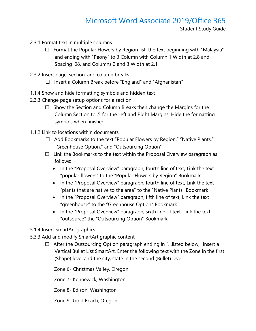- 2.3.1 Format text in multiple columns
	- $\Box$  Format the Popular Flowers by Region list, the text beginning with "Malaysia" and ending with "Peony" to 3 Column with Column 1 Width at 2.8 and Spacing .08, and Columns 2 and 3 Width at 2.1
- 2.3.2 Insert page, section, and column breaks
	- $\Box$  Insert a Column Break before "England" and "Afghanistan"
- 1.1.4 Show and hide formatting symbols and hidden text
- 2.3.3 Change page setup options for a section
	- $\Box$  Show the Section and Column Breaks then change the Margins for the Column Section to .5 for the Left and Right Margins. Hide the formatting symbols when finished
- 1.1.2 Link to locations within documents
	- ☐ Add Bookmarks to the text "Popular Flowers by Region," "Native Plants," "Greenhouse Option," and "Outsourcing Option"
	- $\Box$  Link the Bookmarks to the text within the Proposal Overview paragraph as follows:
		- In the "Proposal Overview" paragraph, fourth line of text, Link the text "popular flowers" to the "Popular Flowers by Region" Bookmark
		- In the "Proposal Overview" paragraph, fourth line of text, Link the text "plants that are native to the area" to the "Native Plants" Bookmark
		- In the "Proposal Overview" paragraph, fifth line of text, Link the text "greenhouse" to the "Greenhouse Option" Bookmark
		- In the "Proposal Overview" paragraph, sixth line of text, Link the text "outsource" the "Outsourcing Option" Bookmark
- 5.1.4 Insert SmartArt graphics
- 5.3.3 Add and modify SmartArt graphic content
	- ☐ After the Outsourcing Option paragraph ending in "…listed below," Insert a Vertical Bullet List SmartArt. Enter the following text with the Zone in the first (Shape) level and the city, state in the second (Bullet) level

Zone 6- Christmas Valley, Oregon

Zone 7- Kennewick, Washington

Zone 8- Edison, Washington

Zone 9- Gold Beach, Oregon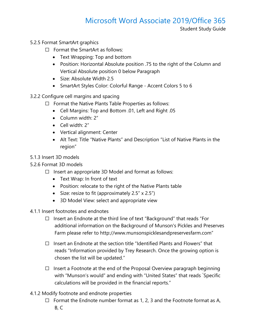Student Study Guide

- 5.2.5 Format SmartArt graphics
	- ☐ Format the SmartArt as follows:
		- Text Wrapping: Top and bottom
		- Position: Horizontal Absolute position .75 to the right of the Column and Vertical Absolute position 0 below Paragraph
		- Size: Absolute Width 2.5
		- SmartArt Styles Color: Colorful Range Accent Colors 5 to 6
- 3.2.2 Configure cell margins and spacing
	- ☐ Format the Native Plants Table Properties as follows:
		- Cell Margins: Top and Bottom .01, Left and Right .05
		- Column width: 2"
		- Cell width: 2"
		- Vertical alignment: Center
		- Alt Text: Title "Native Plants" and Description "List of Native Plants in the region"
- 5.1.3 Insert 3D models
- 5.2.6 Format 3D models
	- ☐ Insert an appropriate 3D Model and format as follows:
		- Text Wrap: In front of text
		- Position: relocate to the right of the Native Plants table
		- Size: resize to fit (approximately 2.5" x 2.5")
		- 3D Model View: select and appropriate view
- 4.1.1 Insert footnotes and endnotes
	- ☐ Insert an Endnote at the third line of text "Background" that reads "For additional information on the Background of Munson's Pickles and Preserves Farm please refer to http://www.munsonspicklesandpreservesfarm.com"
	- $\Box$  Insert an Endnote at the section title "Identified Plants and Flowers" that reads "Information provided by Trey Research. Once the growing option is chosen the list will be updated."
	- $\Box$  Insert a Footnote at the end of the Proposal Overview paragraph beginning with "Munson's would" and ending with "United States" that reads "Specific calculations will be provided in the financial reports."
- 4.1.2 Modify footnote and endnote properties
	- $\Box$  Format the Endnote number format as 1, 2, 3 and the Footnote format as A, B, C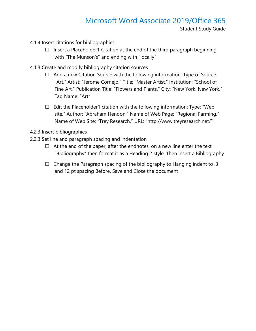Student Study Guide

- 4.1.4 Insert citations for bibliographies
	- ☐ Insert a Placeholder1 Citation at the end of the third paragraph beginning with "The Munson's" and ending with "locally"
- 4.1.3 Create and modify bibliography citation sources
	- ☐ Add a new Citation Source with the following information: Type of Source: "Art," Artist: "Jerome Cornejo," Title: "Master Artist," Institution: "School of Fine Art," Publication Title: "Flowers and Plants," City: "New York, New York," Tag Name: "Art"
	- ☐ Edit the Placeholder1 citation with the following information: Type: "Web site," Author: "Abraham Hendon," Name of Web Page: "Regional Farming," Name of Web Site: "Trey Research," URL: "http://www.treyresearch.net/"
- 4.2.3 Insert bibliographies
- 2.2.3 Set line and paragraph spacing and indentation
	- $\Box$  At the end of the paper, after the endnotes, on a new line enter the text "Bibliography" then format it as a Heading 2 style. Then insert a Bibliography
	- □ Change the Paragraph spacing of the bibliography to Hanging indent to  $.3$ and 12 pt spacing Before. Save and Close the document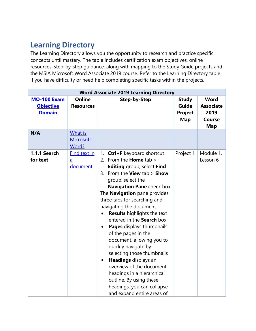### <span id="page-18-0"></span>**Learning Directory**

The Learning Directory allows you the opportunity to research and practice specific concepts until mastery. The table includes certification exam objectives, online resources, step-by-step guidance, along with mapping to the Study Guide projects and the MSIA Microsoft Word Associate 2019 course. Refer to the Learning Directory table if you have difficulty or need help completing specific tasks within the projects.

| <b>Word Associate 2019 Learning Directory</b>           |                                             |                                                                                                                                                                                                                                                                                                                                                                                                                                                                                                                                                                                                                                                                                                                        |                                                       |                                                                        |  |
|---------------------------------------------------------|---------------------------------------------|------------------------------------------------------------------------------------------------------------------------------------------------------------------------------------------------------------------------------------------------------------------------------------------------------------------------------------------------------------------------------------------------------------------------------------------------------------------------------------------------------------------------------------------------------------------------------------------------------------------------------------------------------------------------------------------------------------------------|-------------------------------------------------------|------------------------------------------------------------------------|--|
| <b>MO-100 Exam</b><br><b>Objective</b><br><b>Domain</b> | <b>Online</b><br><b>Resources</b>           | <b>Step-by-Step</b>                                                                                                                                                                                                                                                                                                                                                                                                                                                                                                                                                                                                                                                                                                    | <b>Study</b><br>Guide<br><b>Project</b><br><b>Map</b> | <b>Word</b><br><b>Associate</b><br>2019<br><b>Course</b><br><b>Map</b> |  |
| N/A                                                     | What is<br><b>Microsoft</b><br>Word?        |                                                                                                                                                                                                                                                                                                                                                                                                                                                                                                                                                                                                                                                                                                                        |                                                       |                                                                        |  |
| 1.1.1 Search<br>for text                                | Find text in<br>$\underline{a}$<br>document | Ctrl+F keyboard shortcut<br>1.<br>2. From the <b>Home</b> tab $>$<br><b>Editing</b> group, select Find<br>3. From the View tab $>$ Show<br>group, select the<br><b>Navigation Pane check box</b><br>The <b>Navigation</b> pane provides<br>three tabs for searching and<br>navigating the document:<br><b>Results</b> highlights the text<br>entered in the Search box<br>Pages displays thumbnails<br>$\bullet$<br>of the pages in the<br>document, allowing you to<br>quickly navigate by<br>selecting those thumbnails<br><b>Headings</b> displays an<br>$\bullet$<br>overview of the document<br>headings in a hierarchical<br>outline. By using these<br>headings, you can collapse<br>and expand entire areas of | Project 1                                             | Module 1,<br>Lesson 6                                                  |  |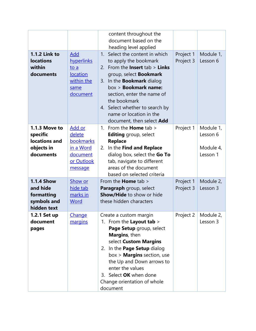| <b>1.1.2 Link to</b><br><b>locations</b><br>within<br>documents                                                                                    | Add<br>hyperlinks<br>to a<br>location<br>within the<br>same<br>document                                                    | content throughout the<br>document based on the<br>heading level applied<br>Select the content in which<br>1 <sub>1</sub><br>to apply the bookmark<br>2. From the <b>Insert</b> $tab >$ <b>Links</b><br>group, select <b>Bookmark</b><br>In the <b>Bookmark</b> dialog<br>3.<br>box > <b>Bookmark name:</b><br>section, enter the name of<br>the bookmark<br>4. Select whether to search by<br>name or location in the | Project 1<br>Project 3              | Module 1,<br>Lesson 6                                                   |
|----------------------------------------------------------------------------------------------------------------------------------------------------|----------------------------------------------------------------------------------------------------------------------------|------------------------------------------------------------------------------------------------------------------------------------------------------------------------------------------------------------------------------------------------------------------------------------------------------------------------------------------------------------------------------------------------------------------------|-------------------------------------|-------------------------------------------------------------------------|
| 1.1.3 Move to<br>specific<br>locations and<br>objects in<br>documents<br><b>1.1.4 Show</b><br>and hide<br>formatting<br>symbols and<br>hidden text | Add or<br>delete<br>bookmarks<br>in a Word<br>document<br>or Outlook<br>message<br>Show or<br>hide tab<br>marks in<br>Word | document, then select Add<br>From the <b>Home</b> tab $>$<br>1.<br><b>Editing</b> group, select<br><b>Replace</b><br>In the Find and Replace<br>2.<br>dialog box, select the Go To<br>tab, navigate to different<br>areas of the document<br>based on selected criteria<br>From the <b>Home</b> tab ><br>Paragraph group, select<br><b>Show/Hide to show or hide</b><br>these hidden characters                        | Project 1<br>Project 1<br>Project 3 | Module 1,<br>Lesson 6<br>Module 4,<br>Lesson 1<br>Module 2,<br>Lesson 3 |
| 1.2.1 Set up<br>document<br>pages                                                                                                                  | Change<br>margins                                                                                                          | Create a custom margin<br>1. From the Layout tab ><br>Page Setup group, select<br>Margins, then<br>select Custom Margins<br>2. In the Page Setup dialog<br>box > <b>Margins</b> section, use<br>the Up and Down arrows to<br>enter the values<br>3. Select OK when done<br>Change orientation of whole<br>document                                                                                                     | Project 2                           | Module 2,<br>Lesson 3                                                   |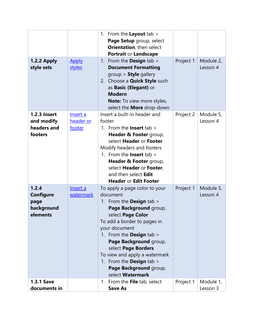|                     |              | 1. From the Layout tab >            |           |           |
|---------------------|--------------|-------------------------------------|-----------|-----------|
|                     |              | Page Setup group, select            |           |           |
|                     |              | Orientation, then select            |           |           |
|                     |              | <b>Portrait or Landscape</b>        |           |           |
| 1.2.2 Apply         | <b>Apply</b> | 1. From the <b>Design</b> tab $>$   | Project 1 | Module 2, |
| style sets          | styles       | <b>Document Formatting</b>          |           | Lesson 4  |
|                     |              | $group >$ Style gallery             |           |           |
|                     |              | 2. Choose a <b>Quick Style</b> such |           |           |
|                     |              | as Basic (Elegant) or               |           |           |
|                     |              | <b>Modern</b>                       |           |           |
|                     |              | <b>Note:</b> To view more styles,   |           |           |
|                     |              | select the More drop-down           |           |           |
| <b>1.2.3 Insert</b> | Insert a     | Insert a built-in header and        | Project 2 | Module 5, |
| and modify          | header or    | footer                              |           | Lesson 4  |
| headers and         | footer       | 1. From the <b>Insert</b> tab $>$   |           |           |
| footers             |              | Header & Footer group,              |           |           |
|                     |              | select Header or Footer             |           |           |
|                     |              | Modify headers and footers          |           |           |
|                     |              | 1. From the <b>Insert</b> tab $>$   |           |           |
|                     |              | Header & Footer group,              |           |           |
|                     |              | select Header or Footer,            |           |           |
|                     |              | and then select Edit                |           |           |
|                     |              | <b>Header or Edit Footer</b>        |           |           |
| 1.2.4               | Insert a     | To apply a page color to your       | Project 1 | Module 5, |
| <b>Configure</b>    | watermark    | document                            |           | Lesson 4  |
| page                |              | 1. From the <b>Design</b> tab >     |           |           |
| background          |              | Page Background group,              |           |           |
| elements            |              | select Page Color                   |           |           |
|                     |              | To add a border to pages in         |           |           |
|                     |              | your document                       |           |           |
|                     |              | 1. From the <b>Design</b> tab >     |           |           |
|                     |              | Page Background group,              |           |           |
|                     |              | select Page Borders                 |           |           |
|                     |              | To view and apply a watermark       |           |           |
|                     |              | 1. From the <b>Design</b> tab >     |           |           |
|                     |              | Page Background group,              |           |           |
|                     |              | select Watermark                    |           |           |
| <b>1.3.1 Save</b>   |              | From the File tab, select<br>1.     | Project 1 | Module 1, |
| documents in        |              | <b>Save As</b>                      |           | Lesson 3  |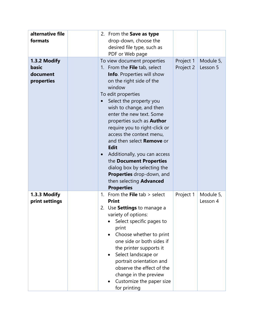| alternative file<br>formats                     | 2. From the Save as type<br>drop-down, choose the<br>desired file type, such as<br>PDF or Web page                                                                                                                                                                                                                                                                                                                                                                                                                                                                                                                     |
|-------------------------------------------------|------------------------------------------------------------------------------------------------------------------------------------------------------------------------------------------------------------------------------------------------------------------------------------------------------------------------------------------------------------------------------------------------------------------------------------------------------------------------------------------------------------------------------------------------------------------------------------------------------------------------|
| 1.3.2 Modify<br>basic<br>document<br>properties | To view document properties<br>Project 1<br>Module 5,<br>1. From the File tab, select<br>Project 2<br>Lesson 5<br><b>Info.</b> Properties will show<br>on the right side of the<br>window<br>To edit properties<br>Select the property you<br>wish to change, and then<br>enter the new text. Some<br>properties such as <b>Author</b><br>require you to right-click or<br>access the context menu,<br>and then select Remove or<br><b>Edit</b><br>Additionally, you can access<br>the Document Properties<br>dialog box by selecting the<br>Properties drop-down, and<br>then selecting Advanced<br><b>Properties</b> |
| 1.3.3 Modify<br>print settings                  | From the File $tab > select$<br>Project 1<br>Module 5,<br>$\mathbf{1}$ .<br><b>Print</b><br>Lesson 4<br>2. Use Settings to manage a<br>variety of options:<br>Select specific pages to<br>print<br>Choose whether to print<br>one side or both sides if<br>the printer supports it<br>Select landscape or<br>$\bullet$<br>portrait orientation and<br>observe the effect of the<br>change in the preview<br>Customize the paper size<br>for printing                                                                                                                                                                   |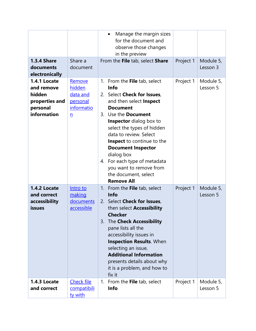|                                                                                   |                                                                           | Manage the margin sizes<br>$\bullet$<br>for the document and<br>observe those changes                                                                                                                                                                                                                                                                                                                                                       |           |                       |
|-----------------------------------------------------------------------------------|---------------------------------------------------------------------------|---------------------------------------------------------------------------------------------------------------------------------------------------------------------------------------------------------------------------------------------------------------------------------------------------------------------------------------------------------------------------------------------------------------------------------------------|-----------|-----------------------|
|                                                                                   |                                                                           | in the preview                                                                                                                                                                                                                                                                                                                                                                                                                              |           |                       |
| <b>1.3.4 Share</b><br>documents<br>electronically                                 | Share a<br>document                                                       | From the File tab, select Share                                                                                                                                                                                                                                                                                                                                                                                                             | Project 1 | Module 5,<br>Lesson 3 |
| 1.4.1 Locate<br>and remove<br>hidden<br>properties and<br>personal<br>information | Remove<br>hidden<br>data and<br>personal<br>informatio<br>$\underline{n}$ | From the File tab, select<br>1.<br><b>Info</b><br>2. Select Check for Issues,<br>and then select <b>Inspect</b><br><b>Document</b><br>3. Use the <b>Document</b><br><b>Inspector</b> dialog box to<br>select the types of hidden<br>data to review. Select<br>Inspect to continue to the<br><b>Document Inspector</b><br>dialog box<br>4. For each type of metadata<br>you want to remove from<br>the document, select<br><b>Remove All</b> | Project 1 | Module 5,<br>Lesson 5 |
| 1.4.2 Locate<br>and correct<br>accessibility<br><b>issues</b>                     | Intro to<br>making<br>documents<br>accessible                             | 1. From the File tab, select<br><b>Info</b><br>2. Select Check for Issues,<br>then select Accessibility<br><b>Checker</b><br>The Check Accessibility<br>3.<br>pane lists all the<br>accessibility issues in<br><b>Inspection Results. When</b><br>selecting an issue,<br><b>Additional Information</b><br>presents details about why<br>it is a problem, and how to<br>fix it                                                               | Project 1 | Module 5,<br>Lesson 5 |
| 1.4.3 Locate<br>and correct                                                       | <b>Check file</b><br>compatibili<br>ty with                               | From the File tab, select<br>1.<br><b>Info</b>                                                                                                                                                                                                                                                                                                                                                                                              | Project 1 | Module 5,<br>Lesson 5 |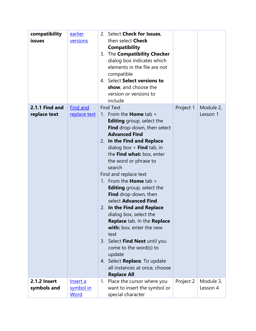| compatibility<br>issues            | <u>earlier</u><br>versions      | 2. Select Check for Issues,<br>then select <b>Check</b><br><b>Compatibility</b><br>The Compatibility Checker<br>3.<br>dialog box indicates which<br>elements in the file are not<br>compatible<br>4. Select Select versions to<br>show, and choose the                                                                                                                                                                                                                                                                                                                                                                                                                                                 |           |                       |
|------------------------------------|---------------------------------|--------------------------------------------------------------------------------------------------------------------------------------------------------------------------------------------------------------------------------------------------------------------------------------------------------------------------------------------------------------------------------------------------------------------------------------------------------------------------------------------------------------------------------------------------------------------------------------------------------------------------------------------------------------------------------------------------------|-----------|-----------------------|
|                                    |                                 | version or versions to<br>include                                                                                                                                                                                                                                                                                                                                                                                                                                                                                                                                                                                                                                                                      |           |                       |
| 2.1.1 Find and<br>replace text     | <b>Find and</b><br>replace text | <b>Find Text</b><br>1. From the <b>Home</b> tab $>$<br><b>Editing</b> group, select the<br><b>Find</b> drop-down, then select<br><b>Advanced Find</b><br>2. In the Find and Replace<br>dialog box $>$ Find tab, in<br>the Find what: box, enter<br>the word or phrase to<br>search<br>Find and replace text<br>1. From the <b>Home</b> tab $>$<br><b>Editing</b> group, select the<br>Find drop-down, then<br>select Advanced Find<br>In the Find and Replace<br>2.<br>dialog box, select the<br>Replace tab. In the Replace<br>with: box, enter the new<br>text<br>3. Select Find Next until you<br>come to the word(s) to<br>update<br>4. Select Replace. To update<br>all instances at once, choose | Project 1 | Module 2,<br>Lesson 1 |
| <b>2.1.2 Insert</b><br>symbols and | Insert a<br>symbol in<br>Word   | <b>Replace All</b><br>Place the cursor where you<br>1.<br>want to insert the symbol or<br>special character                                                                                                                                                                                                                                                                                                                                                                                                                                                                                                                                                                                            | Project 2 | Module 3,<br>Lesson 4 |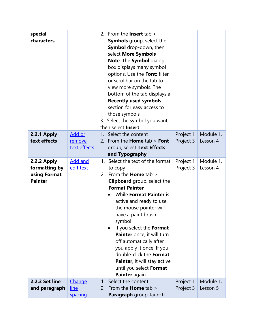| special<br>characters                                          |                                         | 2. From the <b>Insert</b> tab $>$<br><b>Symbols</b> group, select the<br><b>Symbol</b> drop-down, then<br>select More Symbols<br>Note: The Symbol dialog<br>box displays many symbol<br>options. Use the Font: filter<br>or scrollbar on the tab to<br>view more symbols. The<br>bottom of the tab displays a<br><b>Recently used symbols</b><br>section for easy access to<br>those symbols<br>3. Select the symbol you want,<br>then select Insert                                |                        |                       |
|----------------------------------------------------------------|-----------------------------------------|-------------------------------------------------------------------------------------------------------------------------------------------------------------------------------------------------------------------------------------------------------------------------------------------------------------------------------------------------------------------------------------------------------------------------------------------------------------------------------------|------------------------|-----------------------|
| 2.2.1 Apply<br>text effects                                    | Add or<br>remove<br>text effects        | 1. Select the content<br>2. From the <b>Home</b> $tab > Font$<br>group, select Text Effects<br>and Typography                                                                                                                                                                                                                                                                                                                                                                       | Project 1<br>Project 3 | Module 1,<br>Lesson 4 |
| 2.2.2 Apply<br>formatting by<br>using Format<br><b>Painter</b> | <b>Add and</b><br>edit text             | Select the text of the format<br>1.<br>to copy<br>2. From the <b>Home</b> tab $>$<br>Clipboard group, select the<br><b>Format Painter</b><br>While Format Painter is<br>active and ready to use,<br>the mouse pointer will<br>have a paint brush<br>symbol<br>If you select the Format<br>Painter once, it will turn<br>off automatically after<br>you apply it once. If you<br>double-click the Format<br>Painter, it will stay active<br>until you select Format<br>Painter again | Project 1<br>Project 3 | Module 1,<br>Lesson 4 |
| <b>2.2.3 Set line</b><br>and paragraph                         | <b>Change</b><br><u>line</u><br>spacing | Select the content<br>1.<br>2. From the <b>Home</b> tab $>$<br><b>Paragraph</b> group, launch                                                                                                                                                                                                                                                                                                                                                                                       | Project 1<br>Project 3 | Module 1,<br>Lesson 5 |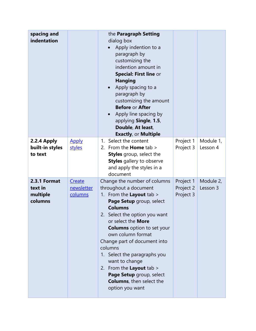| spacing and<br>indentation                     |                                 | the Paragraph Setting<br>dialog box<br>Apply indention to a<br>paragraph by<br>customizing the<br>indention amount in<br>Special: First line or<br><b>Hanging</b><br>Apply spacing to a<br>paragraph by<br>customizing the amount<br><b>Before or After</b><br>Apply line spacing by<br>$\bullet$<br>applying Single, 1.5,<br>Double, At least,<br><b>Exactly, or Multiple</b>                                                                                  |                                     |                       |
|------------------------------------------------|---------------------------------|-----------------------------------------------------------------------------------------------------------------------------------------------------------------------------------------------------------------------------------------------------------------------------------------------------------------------------------------------------------------------------------------------------------------------------------------------------------------|-------------------------------------|-----------------------|
| 2.2.4 Apply                                    | <b>Apply</b>                    | Select the content<br>1.                                                                                                                                                                                                                                                                                                                                                                                                                                        | Project 1                           | Module 1,             |
| built-in styles<br>to text                     | styles                          | 2. From the <b>Home</b> tab $>$<br><b>Styles</b> group, select the<br><b>Styles</b> gallery to observe<br>and apply the styles in a<br>document                                                                                                                                                                                                                                                                                                                 | Project 3                           | Lesson 4              |
| 2.3.1 Format<br>text in<br>multiple<br>columns | Create<br>newsletter<br>columns | Change the number of columns<br>throughout a document<br>1. From the Layout tab ><br>Page Setup group, select<br><b>Columns</b><br>Select the option you want<br>2.<br>or select the More<br><b>Columns</b> option to set your<br>own column format<br>Change part of document into<br>columns<br>1. Select the paragraphs you<br>want to change<br>2. From the Layout tab ><br>Page Setup group, select<br><b>Columns</b> , then select the<br>option you want | Project 1<br>Project 2<br>Project 3 | Module 2,<br>Lesson 3 |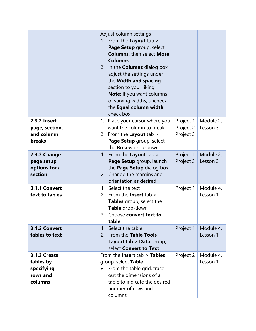|                                                                       | Adjust column settings<br>1. From the Layout tab ><br>Page Setup group, select<br><b>Columns</b> , then select More<br><b>Columns</b><br>2. In the <b>Columns</b> dialog box,<br>adjust the settings under<br>the Width and spacing<br>section to your liking<br>Note: If you want columns<br>of varying widths, uncheck<br>the Equal column width<br>check box |                                     |                       |
|-----------------------------------------------------------------------|-----------------------------------------------------------------------------------------------------------------------------------------------------------------------------------------------------------------------------------------------------------------------------------------------------------------------------------------------------------------|-------------------------------------|-----------------------|
| <b>2.3.2 Insert</b><br>page, section,<br>and column<br><b>breaks</b>  | 1. Place your cursor where you<br>want the column to break<br>2. From the <b>Layout</b> tab $>$<br>Page Setup group, select<br>the Breaks drop-down                                                                                                                                                                                                             | Project 1<br>Project 2<br>Project 3 | Module 2,<br>Lesson 3 |
| 2.3.3 Change<br>page setup<br>options for a<br>section                | From the Layout tab ><br>1.<br>Page Setup group, launch<br>the Page Setup dialog box<br>2. Change the margins and<br>orientation as desired                                                                                                                                                                                                                     | Project 1<br>Project 3              | Module 2,<br>Lesson 3 |
| 3.1.1 Convert<br>text to tables                                       | Select the text<br>$\mathbf{1}$<br>2. From the <b>Insert</b> tab $>$<br><b>Tables</b> group, select the<br>Table drop-down<br>Choose convert text to<br>3.<br>table                                                                                                                                                                                             | Project 1                           | Module 4,<br>Lesson 1 |
| 3.1.2 Convert<br>tables to text                                       | 1. Select the table<br>2. From the Table Tools<br><b>Layout</b> tab $>$ <b>Data</b> group,<br>select Convert to Text                                                                                                                                                                                                                                            | Project 1                           | Module 4,<br>Lesson 1 |
| <b>3.1.3 Create</b><br>tables by<br>specifying<br>rows and<br>columns | From the <b>Insert</b> tab > Tables<br>group, select Table<br>From the table grid, trace<br>out the dimensions of a<br>table to indicate the desired<br>number of rows and<br>columns                                                                                                                                                                           | Project 2                           | Module 4,<br>Lesson 1 |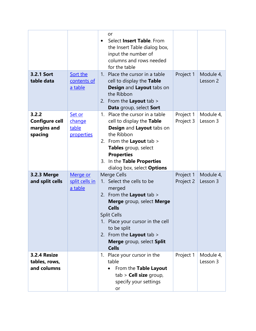| 3.2.1 Sort<br>table data                                 | Sort the<br>contents of<br>a table      | or<br>Select <b>Insert Table</b> . From<br>the Insert Table dialog box,<br>input the number of<br>columns and rows needed<br>for the table<br>1. Place the cursor in a table<br>cell to display the Table<br>Design and Layout tabs on<br>the Ribbon<br>2. From the Layout tab ><br>Data group, select Sort | Project 1              | Module 4,<br>Lesson 2 |
|----------------------------------------------------------|-----------------------------------------|-------------------------------------------------------------------------------------------------------------------------------------------------------------------------------------------------------------------------------------------------------------------------------------------------------------|------------------------|-----------------------|
| 3.2.2<br><b>Configure cell</b><br>margins and<br>spacing | Set or<br>change<br>table<br>properties | 1. Place the cursor in a table<br>cell to display the Table<br>Design and Layout tabs on<br>the Ribbon<br>2. From the Layout tab $>$<br>Tables group, select<br><b>Properties</b><br>3. In the Table Properties<br>dialog box, select <b>Options</b>                                                        | Project 1<br>Project 3 | Module 4,<br>Lesson 3 |
| 3.2.3 Merge<br>and split cells                           | Merge or<br>split cells in<br>a table   | Merge Cells<br>1. Select the cells to be<br>merged<br>2. From the Layout tab $>$<br>Merge group, select Merge<br><b>Cells</b><br><b>Split Cells</b><br>1. Place your cursor in the cell<br>to be split<br>2. From the Layout tab ><br>Merge group, select Split<br><b>Cells</b>                             | Project 1<br>Project 2 | Module 4,<br>Lesson 3 |
| 3.2.4 Resize<br>tables, rows,<br>and columns             |                                         | 1. Place your cursor in the<br>table<br>From the Table Layout<br>$tab$ > Cell size group,<br>specify your settings<br>or                                                                                                                                                                                    | Project 1              | Module 4,<br>Lesson 3 |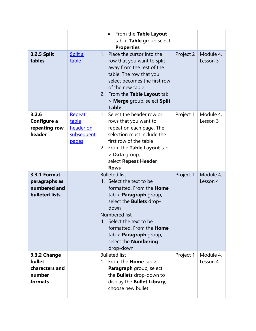|                                                                               |                                                     | From the Table Layout<br>$\bullet$<br>$tab$ > Table group select<br><b>Properties</b>                                                                                                                                                                                                                                                 |           |                       |
|-------------------------------------------------------------------------------|-----------------------------------------------------|---------------------------------------------------------------------------------------------------------------------------------------------------------------------------------------------------------------------------------------------------------------------------------------------------------------------------------------|-----------|-----------------------|
| <b>3.2.5 Split</b><br>tables                                                  | Split a<br>table                                    | Place the cursor into the<br>1 <sub>1</sub><br>row that you want to split<br>away from the rest of the<br>table. The row that you<br>select becomes the first row<br>of the new table<br>2. From the Table Layout tab<br>> Merge group, select Split<br><b>Table</b>                                                                  | Project 2 | Module 4,<br>Lesson 3 |
| 3.2.6<br>Configure a<br>repeating row<br>header                               | Repeat<br>table<br>header on<br>subsequent<br>pages | 1. Select the header row or<br>rows that you want to<br>repeat on each page. The<br>selection must include the<br>first row of the table<br>2. From the Table Layout tab<br>> Data group,<br>select Repeat Header<br><b>Rows</b>                                                                                                      | Project 1 | Module 4,<br>Lesson 3 |
| <b>3.3.1 Format</b><br>paragraphs as<br>numbered and<br><b>bulleted lists</b> |                                                     | <b>Bulleted list</b><br>1. Select the text to be<br>formatted. From the <b>Home</b><br>tab > <b>Paragraph</b> group,<br>select the <b>Bullets</b> drop-<br>down<br><b>Numbered list</b><br>1. Select the text to be<br>formatted. From the <b>Home</b><br>$tab$ > <b>Paragraph</b> group,<br>select the <b>Numbering</b><br>drop-down | Project 1 | Module 4,<br>Lesson 4 |
| 3.3.2 Change<br>bullet<br>characters and<br>number<br>formats                 |                                                     | <b>Bulleted list</b><br>1. From the <b>Home</b> tab $>$<br>Paragraph group, select<br>the <b>Bullets</b> drop-down to<br>display the <b>Bullet Library</b> ,<br>choose new bullet                                                                                                                                                     | Project 1 | Module 4,<br>Lesson 4 |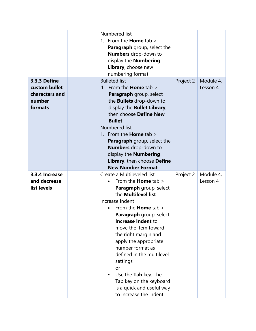|                | Numbered list                                       |           |           |
|----------------|-----------------------------------------------------|-----------|-----------|
|                | 1. From the <b>Home</b> tab $>$                     |           |           |
|                | <b>Paragraph</b> group, select the                  |           |           |
|                | <b>Numbers</b> drop-down to                         |           |           |
|                | display the <b>Numbering</b>                        |           |           |
|                | Library, choose new                                 |           |           |
|                | numbering format                                    |           |           |
| 3.3.3 Define   | <b>Bulleted list</b>                                | Project 2 | Module 4, |
| custom bullet  | 1. From the <b>Home</b> tab $>$                     |           | Lesson 4  |
| characters and | Paragraph group, select                             |           |           |
| number         | the <b>Bullets</b> drop-down to                     |           |           |
| formats        | display the <b>Bullet Library</b> ,                 |           |           |
|                | then choose Define New                              |           |           |
|                | <b>Bullet</b>                                       |           |           |
|                | Numbered list                                       |           |           |
|                | 1. From the <b>Home</b> tab $>$                     |           |           |
|                | <b>Paragraph</b> group, select the                  |           |           |
|                | Numbers drop-down to                                |           |           |
|                | display the <b>Numbering</b>                        |           |           |
|                | Library, then choose Define                         |           |           |
|                |                                                     |           |           |
|                | <b>New Number Format</b>                            |           |           |
| 3.3.4 Increase | Create a Multileveled list                          | Project 2 | Module 4, |
| and decrease   | From the <b>Home</b> tab $>$                        |           | Lesson 4  |
| list levels    | Paragraph group, select                             |           |           |
|                | the Multilevel list                                 |           |           |
|                | Increase Indent                                     |           |           |
|                | From the <b>Home</b> tab >                          |           |           |
|                | Paragraph group, select                             |           |           |
|                | Increase Indent to                                  |           |           |
|                | move the item toward                                |           |           |
|                | the right margin and                                |           |           |
|                | apply the appropriate                               |           |           |
|                | number format as                                    |           |           |
|                | defined in the multilevel                           |           |           |
|                | settings                                            |           |           |
|                | or                                                  |           |           |
|                | Use the Tab key. The                                |           |           |
|                | Tab key on the keyboard                             |           |           |
|                | is a quick and useful way<br>to increase the indent |           |           |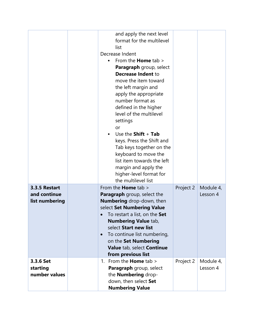|                                                 | and apply the next level<br>format for the multilevel<br>list<br>Decrease Indent<br>From the <b>Home</b> tab $>$<br><b>Paragraph</b> group, select<br><b>Decrease Indent to</b><br>move the item toward<br>the left margin and<br>apply the appropriate<br>number format as<br>defined in the higher<br>level of the multilevel<br>settings<br>or<br>Use the $Shift + Tab$<br>keys. Press the Shift and<br>Tab keys together on the<br>keyboard to move the<br>list item towards the left<br>margin and apply the<br>higher-level format for<br>the multilevel list |           |                       |
|-------------------------------------------------|---------------------------------------------------------------------------------------------------------------------------------------------------------------------------------------------------------------------------------------------------------------------------------------------------------------------------------------------------------------------------------------------------------------------------------------------------------------------------------------------------------------------------------------------------------------------|-----------|-----------------------|
| 3.3.5 Restart<br>and continue<br>list numbering | From the <b>Home</b> tab ><br><b>Paragraph</b> group, select the<br><b>Numbering</b> drop-down, then<br>select Set Numbering Value<br>To restart a list, on the Set<br><b>Numbering Value tab,</b><br>select Start new list<br>To continue list numbering,<br>$\bullet$<br>on the Set Numbering<br>Value tab, select Continue<br>from previous list                                                                                                                                                                                                                 | Project 2 | Module 4,<br>Lesson 4 |
| 3.3.6 Set<br>starting<br>number values          | 1. From the <b>Home</b> tab $>$<br>Paragraph group, select<br>the <b>Numbering</b> drop-<br>down, then select Set<br><b>Numbering Value</b>                                                                                                                                                                                                                                                                                                                                                                                                                         | Project 2 | Module 4,<br>Lesson 4 |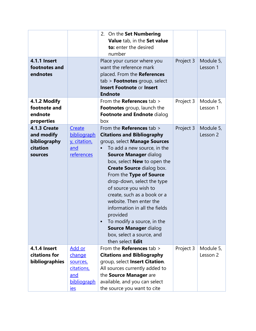| <b>4.1.1 Insert</b><br>footnotes and<br>endnotes                         |                                                                                | 2. On the Set Numbering<br>Value tab, in the Set value<br>to: enter the desired<br>number<br>Place your cursor where you<br>want the reference mark<br>placed. From the References<br>$tab$ > <b>Footnotes</b> group, select<br><b>Insert Footnote or Insert</b><br><b>Endnote</b>                                                                                                                                                                                                                                                                      | Project 3 | Module 5,<br>Lesson 1 |
|--------------------------------------------------------------------------|--------------------------------------------------------------------------------|---------------------------------------------------------------------------------------------------------------------------------------------------------------------------------------------------------------------------------------------------------------------------------------------------------------------------------------------------------------------------------------------------------------------------------------------------------------------------------------------------------------------------------------------------------|-----------|-----------------------|
| 4.1.2 Modify<br>footnote and<br>endnote                                  |                                                                                | From the <b>References</b> tab $>$<br>Footnotes group, launch the<br>Footnote and Endnote dialog                                                                                                                                                                                                                                                                                                                                                                                                                                                        | Project 3 | Module 5,<br>Lesson 1 |
| properties                                                               |                                                                                | box                                                                                                                                                                                                                                                                                                                                                                                                                                                                                                                                                     |           |                       |
| <b>4.1.3 Create</b><br>and modify<br>bibliography<br>citation<br>sources | Create<br>bibliograph<br>y, citation,<br>and<br>references                     | From the <b>References</b> tab $>$<br><b>Citations and Bibliography</b><br>group, select Manage Sources<br>To add a new source, in the<br>Source Manager dialog<br>box, select <b>New</b> to open the<br><b>Create Source dialog box.</b><br>From the Type of Source<br>drop-down, select the type<br>of source you wish to<br>create, such as a book or a<br>website. Then enter the<br>information in all the fields<br>provided<br>To modify a source, in the<br>$\bullet$<br>Source Manager dialog<br>box, select a source, and<br>then select Edit | Project 3 | Module 5,<br>Lesson 2 |
| 4.1.4 Insert<br>citations for<br>bibliographies                          | <u>Add or</u><br>change<br>sources,<br>citations,<br>and<br>bibliograph<br>ies | From the <b>References</b> tab $>$<br><b>Citations and Bibliography</b><br>group, select Insert Citation.<br>All sources currently added to<br>the Source Manager are<br>available, and you can select<br>the source you want to cite                                                                                                                                                                                                                                                                                                                   | Project 3 | Module 5,<br>Lesson 2 |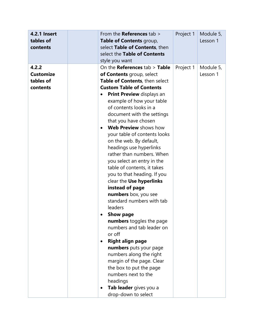| <b>4.2.1 Insert</b><br>tables of<br>contents       | From the References tab ><br>Table of Contents group,<br>select Table of Contents, then<br>select the Table of Contents<br>style you want                                                                                                                                                                                                                                                                                                                                                                                                                                                                                                                                                                                                                                                                                                                                                                                                    | Project 1 | Module 5,<br>Lesson 1 |
|----------------------------------------------------|----------------------------------------------------------------------------------------------------------------------------------------------------------------------------------------------------------------------------------------------------------------------------------------------------------------------------------------------------------------------------------------------------------------------------------------------------------------------------------------------------------------------------------------------------------------------------------------------------------------------------------------------------------------------------------------------------------------------------------------------------------------------------------------------------------------------------------------------------------------------------------------------------------------------------------------------|-----------|-----------------------|
| 4.2.2<br><b>Customize</b><br>tables of<br>contents | On the <b>References</b> $tab >$ Table<br>of Contents group, select<br>Table of Contents, then select<br><b>Custom Table of Contents</b><br><b>Print Preview</b> displays an<br>$\bullet$<br>example of how your table<br>of contents looks in a<br>document with the settings<br>that you have chosen<br>Web Preview shows how<br>$\bullet$<br>your table of contents looks<br>on the web. By default,<br>headings use hyperlinks<br>rather than numbers. When<br>you select an entry in the<br>table of contents, it takes<br>you to that heading. If you<br>clear the Use hyperlinks<br>instead of page<br>numbers box, you see<br>standard numbers with tab<br>leaders<br><b>Show page</b><br>numbers toggles the page<br>numbers and tab leader on<br>or off<br><b>Right align page</b><br>numbers puts your page<br>numbers along the right<br>margin of the page. Clear<br>the box to put the page<br>numbers next to the<br>headings | Project 1 | Module 5,<br>Lesson 1 |
|                                                    | Tab leader gives you a<br>drop-down to select                                                                                                                                                                                                                                                                                                                                                                                                                                                                                                                                                                                                                                                                                                                                                                                                                                                                                                |           |                       |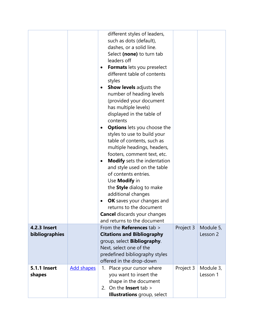| 4.2.3 Insert<br>bibliographies |                   | different styles of leaders,<br>such as dots (default),<br>dashes, or a solid line.<br>Select (none) to turn tab<br>leaders off<br>Formats lets you preselect<br>$\bullet$<br>different table of contents<br>styles<br><b>Show levels</b> adjusts the<br>$\bullet$<br>number of heading levels<br>(provided your document<br>has multiple levels)<br>displayed in the table of<br>contents<br><b>Options</b> lets you choose the<br>$\bullet$<br>styles to use to build your<br>table of contents, such as<br>multiple headings, headers,<br>footers, comment text, etc.<br><b>Modify</b> sets the indentation<br>$\bullet$<br>and style used on the table<br>of contents entries.<br>Use <b>Modify</b> in<br>the Style dialog to make<br>additional changes<br>OK saves your changes and<br>$\bullet$<br>returns to the document<br><b>Cancel</b> discards your changes<br>and returns to the document<br>From the <b>References</b> tab ><br><b>Citations and Bibliography</b><br>group, select <b>Bibliography</b> .<br>Next, select one of the<br>predefined bibliography styles<br>offered in the drop-down | Project 3 | Module 5,<br>Lesson 2 |
|--------------------------------|-------------------|------------------------------------------------------------------------------------------------------------------------------------------------------------------------------------------------------------------------------------------------------------------------------------------------------------------------------------------------------------------------------------------------------------------------------------------------------------------------------------------------------------------------------------------------------------------------------------------------------------------------------------------------------------------------------------------------------------------------------------------------------------------------------------------------------------------------------------------------------------------------------------------------------------------------------------------------------------------------------------------------------------------------------------------------------------------------------------------------------------------|-----------|-----------------------|
| <b>5.1.1 Insert</b><br>shapes  | <b>Add shapes</b> | 1. Place your cursor where<br>you want to insert the<br>shape in the document<br>2. On the <b>Insert</b> tab $>$<br><b>Illustrations</b> group, select                                                                                                                                                                                                                                                                                                                                                                                                                                                                                                                                                                                                                                                                                                                                                                                                                                                                                                                                                           | Project 3 | Module 3,<br>Lesson 1 |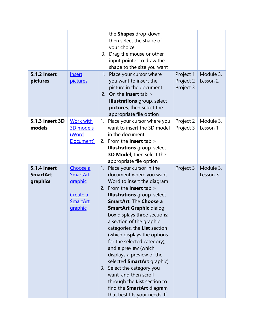|                     |                 |    | the Shapes drop-down,                                           |           |           |
|---------------------|-----------------|----|-----------------------------------------------------------------|-----------|-----------|
|                     |                 |    | then select the shape of                                        |           |           |
|                     |                 |    | your choice                                                     |           |           |
|                     |                 |    | 3. Drag the mouse or other                                      |           |           |
|                     |                 |    | input pointer to draw the                                       |           |           |
|                     |                 |    | shape to the size you want                                      |           |           |
| <b>5.1.2 Insert</b> | Insert          |    | 1. Place your cursor where                                      | Project 1 | Module 3, |
| pictures            | pictures        |    | you want to insert the                                          | Project 2 | Lesson 2  |
|                     |                 |    | picture in the document                                         | Project 3 |           |
|                     |                 |    | 2. On the <b>Insert</b> tab $>$                                 |           |           |
|                     |                 |    | <b>Illustrations</b> group, select                              |           |           |
|                     |                 |    | pictures, then select the                                       |           |           |
| 5.1.3 Insert 3D     | Work with       | 1. | appropriate file option<br>Place your cursor where you          | Project 2 | Module 3, |
| models              | 3D models       |    | want to insert the 3D model                                     | Project 3 | Lesson 1  |
|                     | (Word           |    | in the document                                                 |           |           |
|                     | Document)       | 2. | From the <b>Insert</b> tab $>$                                  |           |           |
|                     |                 |    | <b>Illustrations</b> group, select                              |           |           |
|                     |                 |    | 3D Model, then select the                                       |           |           |
|                     |                 |    | appropriate file option                                         |           |           |
| <b>5.1.4 Insert</b> | Choose a        | 1. | Place your cursor in the                                        | Project 3 | Module 3, |
| <b>SmartArt</b>     | <b>SmartArt</b> |    | document where you want                                         |           | Lesson 3  |
| graphics            | graphic         |    | Word to insert the diagram                                      |           |           |
|                     |                 |    | 2. From the <b>Insert</b> tab $>$                               |           |           |
|                     | Create a        |    | <b>Illustrations</b> group, select                              |           |           |
|                     | <b>SmartArt</b> |    | <b>SmartArt. The Choose a</b>                                   |           |           |
|                     | graphic         |    | <b>SmartArt Graphic dialog</b>                                  |           |           |
|                     |                 |    | box displays three sections:                                    |           |           |
|                     |                 |    | a section of the graphic                                        |           |           |
|                     |                 |    | categories, the List section                                    |           |           |
|                     |                 |    | (which displays the options                                     |           |           |
|                     |                 |    | for the selected category),<br>and a preview (which             |           |           |
|                     |                 |    | displays a preview of the                                       |           |           |
|                     |                 |    | selected <b>SmartArt</b> graphic)                               |           |           |
|                     |                 |    |                                                                 |           |           |
|                     |                 |    |                                                                 |           |           |
|                     |                 |    | 3. Select the category you                                      |           |           |
|                     |                 |    | want, and then scroll                                           |           |           |
|                     |                 |    | through the List section to<br>find the <b>SmartArt</b> diagram |           |           |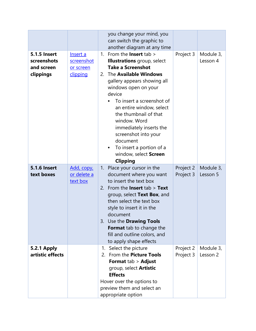|                                                               |                                                 | you change your mind, you<br>can switch the graphic to                                                                                                                                                                                                                                                                                                                                                                                                    |                        |                       |
|---------------------------------------------------------------|-------------------------------------------------|-----------------------------------------------------------------------------------------------------------------------------------------------------------------------------------------------------------------------------------------------------------------------------------------------------------------------------------------------------------------------------------------------------------------------------------------------------------|------------------------|-----------------------|
|                                                               |                                                 | another diagram at any time                                                                                                                                                                                                                                                                                                                                                                                                                               |                        |                       |
| <b>5.1.5 Insert</b><br>screenshots<br>and screen<br>clippings | Insert a<br>screenshot<br>or screen<br>clipping | 1. From the <b>Insert</b> tab $>$<br><b>Illustrations</b> group, select<br><b>Take a Screenshot</b><br>The Available Windows<br>2.<br>gallery appears showing all<br>windows open on your<br>device<br>To insert a screenshot of<br>an entire window, select<br>the thumbnail of that<br>window. Word<br>immediately inserts the<br>screenshot into your<br>document<br>To insert a portion of a<br>$\bullet$<br>window, select Screen<br><b>Clipping</b> | Project 3              | Module 3,<br>Lesson 4 |
| <b>5.1.6 Insert</b><br>text boxes                             | Add, copy,<br>or delete a<br>text box           | 1. Place your cursor in the<br>document where you want<br>to insert the text box<br>2. From the <b>Insert</b> tab $>$ <b>Text</b><br>group, select Text Box, and<br>then select the text box<br>style to insert it in the<br>document<br>3. Use the <b>Drawing Tools</b><br>Format tab to change the<br>fill and outline colors, and<br>to apply shape effects                                                                                            | Project 2<br>Project 3 | Module 3,<br>Lesson 5 |
| <b>5.2.1 Apply</b><br>artistic effects                        |                                                 | Select the picture<br>1.<br>2. From the Picture Tools<br><b>Format tab &gt; Adjust</b><br>group, select Artistic<br><b>Effects</b><br>Hover over the options to<br>preview them and select an<br>appropriate option                                                                                                                                                                                                                                       | Project 2<br>Project 3 | Module 3,<br>Lesson 2 |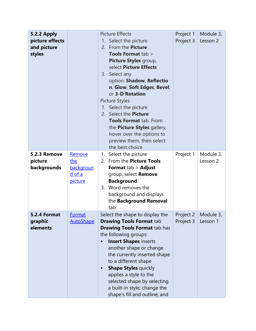| <b>5.2.2 Apply</b><br>picture effects<br>and picture<br>styles |                                                               | <b>Picture Effects</b><br>Select the picture<br>1.<br>2. From the <b>Picture</b><br><b>Tools Format tab &gt;</b><br>Picture Styles group,<br>select Picture Effects<br>3. Select any<br>option: Shadow, Reflectio<br>n, Glow, Soft Edges, Bevel,<br>or 3-D Rotation<br><b>Picture Styles</b><br>1. Select the picture<br>2. Select the Picture<br><b>Tools Format tab. From</b><br>the Picture Styles gallery,<br>hover over the options to<br>preview them, then select<br>the best choice | Project 1<br>Project 3 | Module 3,<br>Lesson 2 |
|----------------------------------------------------------------|---------------------------------------------------------------|---------------------------------------------------------------------------------------------------------------------------------------------------------------------------------------------------------------------------------------------------------------------------------------------------------------------------------------------------------------------------------------------------------------------------------------------------------------------------------------------|------------------------|-----------------------|
| 5.2.3 Remove<br>picture<br>backgrounds                         | Remove<br>the<br>backgroun<br><u>d of a</u><br><u>picture</u> | 1. Select the picture<br>2. From the Picture Tools<br><b>Format tab &gt; Adjust</b><br>group, select Remove<br><b>Background</b><br>3. Word removes the<br>background and displays<br>the Background Removal<br>tab                                                                                                                                                                                                                                                                         | Project 1              | Module 3,<br>Lesson 2 |
| <b>5.2.4 Format</b><br>graphic<br>elements                     | Format<br><b>AutoShape</b>                                    | Select the shape to display the<br><b>Drawing Tools Format tab</b><br><b>Drawing Tools Format tab has</b><br>the following groups:<br><b>Insert Shapes inserts</b><br>another shape or change<br>the currently inserted shape<br>to a different shape<br><b>Shape Styles quickly</b><br>$\bullet$<br>applies a style to the<br>selected shape by selecting<br>a built-in style; change the<br>shape's fill and outline; and                                                                 | Project 2<br>Project 3 | Module 3,<br>Lesson 1 |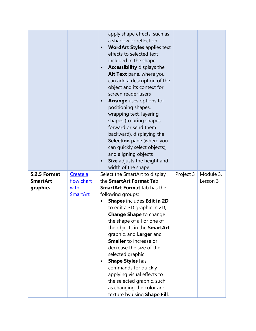|                                 |                         | apply shape effects, such as<br>a shadow or reflection<br><b>WordArt Styles applies text</b><br>$\bullet$<br>effects to selected text<br>included in the shape<br>Accessibility displays the<br>$\bullet$<br>Alt Text pane, where you<br>can add a description of the<br>object and its context for<br>screen reader users<br><b>Arrange</b> uses options for<br>positioning shapes,<br>wrapping text, layering<br>shapes (to bring shapes<br>forward or send them<br>backward), displaying the<br><b>Selection</b> pane (where you<br>can quickly select objects),<br>and aligning objects<br><b>Size</b> adjusts the height and<br>width of the shape |           |                       |
|---------------------------------|-------------------------|---------------------------------------------------------------------------------------------------------------------------------------------------------------------------------------------------------------------------------------------------------------------------------------------------------------------------------------------------------------------------------------------------------------------------------------------------------------------------------------------------------------------------------------------------------------------------------------------------------------------------------------------------------|-----------|-----------------------|
| 5.2.5 Format<br><b>SmartArt</b> | Create a<br>flow chart  | Select the SmartArt to display<br>the <b>SmartArt Format</b> Tab                                                                                                                                                                                                                                                                                                                                                                                                                                                                                                                                                                                        | Project 3 | Module 3,<br>Lesson 3 |
| graphics                        | with<br><b>SmartArt</b> | <b>SmartArt Format tab has the</b><br>following groups:                                                                                                                                                                                                                                                                                                                                                                                                                                                                                                                                                                                                 |           |                       |
|                                 |                         | <b>Shapes includes Edit in 2D</b>                                                                                                                                                                                                                                                                                                                                                                                                                                                                                                                                                                                                                       |           |                       |
|                                 |                         | to edit a 3D graphic in 2D,<br><b>Change Shape to change</b>                                                                                                                                                                                                                                                                                                                                                                                                                                                                                                                                                                                            |           |                       |
|                                 |                         | the shape of all or one of                                                                                                                                                                                                                                                                                                                                                                                                                                                                                                                                                                                                                              |           |                       |
|                                 |                         | the objects in the SmartArt                                                                                                                                                                                                                                                                                                                                                                                                                                                                                                                                                                                                                             |           |                       |
|                                 |                         | graphic, and Larger and<br><b>Smaller</b> to increase or                                                                                                                                                                                                                                                                                                                                                                                                                                                                                                                                                                                                |           |                       |
|                                 |                         | decrease the size of the                                                                                                                                                                                                                                                                                                                                                                                                                                                                                                                                                                                                                                |           |                       |
|                                 |                         | selected graphic                                                                                                                                                                                                                                                                                                                                                                                                                                                                                                                                                                                                                                        |           |                       |
|                                 |                         | <b>Shape Styles has</b>                                                                                                                                                                                                                                                                                                                                                                                                                                                                                                                                                                                                                                 |           |                       |
|                                 |                         | commands for quickly                                                                                                                                                                                                                                                                                                                                                                                                                                                                                                                                                                                                                                    |           |                       |
|                                 |                         | applying visual effects to                                                                                                                                                                                                                                                                                                                                                                                                                                                                                                                                                                                                                              |           |                       |
|                                 |                         | the selected graphic, such                                                                                                                                                                                                                                                                                                                                                                                                                                                                                                                                                                                                                              |           |                       |
|                                 |                         | as changing the color and                                                                                                                                                                                                                                                                                                                                                                                                                                                                                                                                                                                                                               |           |                       |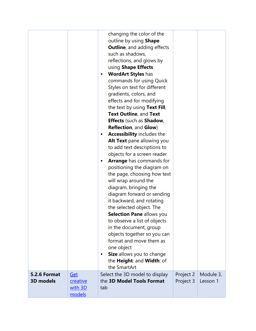|                                         |                                   | changing the color of the<br>outline by using Shape<br><b>Outline, and adding effects</b><br>such as shadows,<br>reflections, and glows by<br>using Shape Effects<br><b>WordArt Styles has</b><br>$\bullet$<br>commands for using Quick<br>Styles on text for different<br>gradients, colors, and<br>effects and for modifying<br>the text by using Text Fill,<br>Text Outline, and Text<br><b>Effects</b> (such as Shadow,<br><b>Reflection, and Glow)</b><br>Accessibility includes the<br>$\bullet$<br>Alt Text pane allowing you<br>to add text descriptions to<br>objects for a screen reader<br><b>Arrange</b> has commands for<br>positioning the diagram on<br>the page, choosing how text<br>will wrap around the<br>diagram, bringing the<br>diagram forward or sending<br>it backward, and rotating<br>the selected object. The<br><b>Selection Pane allows you</b><br>to observe a list of objects<br>in the document, group<br>objects together so you can<br>format and move them as<br>one object<br>Size allows you to change<br>the Height: and Width: of<br>the SmartArt |                        |                       |
|-----------------------------------------|-----------------------------------|--------------------------------------------------------------------------------------------------------------------------------------------------------------------------------------------------------------------------------------------------------------------------------------------------------------------------------------------------------------------------------------------------------------------------------------------------------------------------------------------------------------------------------------------------------------------------------------------------------------------------------------------------------------------------------------------------------------------------------------------------------------------------------------------------------------------------------------------------------------------------------------------------------------------------------------------------------------------------------------------------------------------------------------------------------------------------------------------|------------------------|-----------------------|
| <b>5.2.6 Format</b><br><b>3D models</b> | <b>Get</b><br>creative<br>with 3D | Select the 3D model to display<br>the 3D Model Tools Format<br>tab                                                                                                                                                                                                                                                                                                                                                                                                                                                                                                                                                                                                                                                                                                                                                                                                                                                                                                                                                                                                                         | Project 2<br>Project 3 | Module 3,<br>Lesson 1 |
|                                         | models                            |                                                                                                                                                                                                                                                                                                                                                                                                                                                                                                                                                                                                                                                                                                                                                                                                                                                                                                                                                                                                                                                                                            |                        |                       |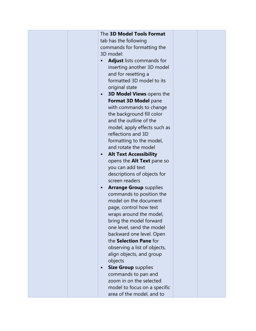| The 3D Model Tools Format<br>tab has the following<br>commands for formatting the<br>3D model:<br><b>Adjust</b> lists commands for<br>inserting another 3D model<br>and for resetting a<br>formatted 3D model to its<br>original state<br><b>3D Model Views opens the</b><br>Format 3D Model pane<br>with commands to change<br>the background fill color<br>and the outline of the<br>model, apply effects such as<br>reflections and 3D<br>formatting to the model,<br>and rotate the model<br><b>Alt Text Accessibility</b><br>opens the Alt Text pane so<br>you can add text<br>descriptions of objects for<br>screen readers<br><b>Arrange Group supplies</b> |  |
|--------------------------------------------------------------------------------------------------------------------------------------------------------------------------------------------------------------------------------------------------------------------------------------------------------------------------------------------------------------------------------------------------------------------------------------------------------------------------------------------------------------------------------------------------------------------------------------------------------------------------------------------------------------------|--|
| commands to position the<br>model on the document<br>page, control how text<br>wraps around the model,<br>bring the model forward                                                                                                                                                                                                                                                                                                                                                                                                                                                                                                                                  |  |
| one level, send the model<br>backward one level. Open<br>the Selection Pane for<br>observing a list of objects,<br>align objects, and group<br>objects<br><b>Size Group supplies</b><br>commands to pan and<br>zoom in on the selected<br>model to focus on a specific<br>area of the model, and to                                                                                                                                                                                                                                                                                                                                                                |  |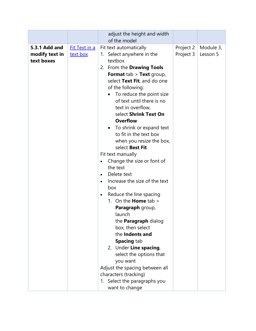|                                               |                                  | adjust the height and width<br>of the model                                                                                                                                                                                                                                                                                                                                                                                                                                                                                                                                                                                                                                                                                                                                                                                                                                                                                                                            |                        |                       |
|-----------------------------------------------|----------------------------------|------------------------------------------------------------------------------------------------------------------------------------------------------------------------------------------------------------------------------------------------------------------------------------------------------------------------------------------------------------------------------------------------------------------------------------------------------------------------------------------------------------------------------------------------------------------------------------------------------------------------------------------------------------------------------------------------------------------------------------------------------------------------------------------------------------------------------------------------------------------------------------------------------------------------------------------------------------------------|------------------------|-----------------------|
| 5.3.1 Add and<br>modify text in<br>text boxes | <b>Fit Text in a</b><br>text box | Fit text automatically<br>1. Select anywhere in the<br>textbox<br>2. From the Drawing Tools<br><b>Format</b> tab $>$ <b>Text</b> group,<br>select Text Fit, and do one<br>of the following:<br>To reduce the point size<br>of text until there is no<br>text in overflow,<br>select Shrink Text On<br><b>Overflow</b><br>To shrink or expand text<br>to fit in the text box<br>when you resize the box,<br>select Best Fit<br>Fit text manually<br>Change the size or font of<br>$\bullet$<br>the text<br>Delete text<br>$\bullet$<br>Increase the size of the text<br>$\bullet$<br>box<br>Reduce the line spacing<br>$\bullet$<br>1. On the <b>Home</b> tab ><br>Paragraph group,<br>launch<br>the <b>Paragraph</b> dialog<br>box, then select<br>the Indents and<br><b>Spacing tab</b><br>2. Under Line spacing,<br>select the options that<br>you want<br>Adjust the spacing between all<br>characters (tracking)<br>1. Select the paragraphs you<br>want to change | Project 2<br>Project 3 | Module 3,<br>Lesson 5 |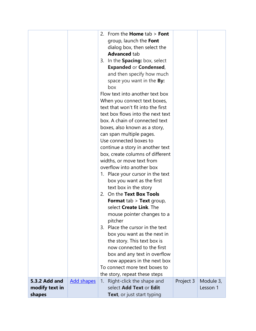|                                    | 2. From the <b>Home</b> $tab > Font$                        |           |           |
|------------------------------------|-------------------------------------------------------------|-----------|-----------|
|                                    | group, launch the Font                                      |           |           |
|                                    | dialog box, then select the                                 |           |           |
|                                    | <b>Advanced tab</b>                                         |           |           |
|                                    | 3. In the Spacing: box, select                              |           |           |
|                                    | <b>Expanded or Condensed,</b>                               |           |           |
|                                    | and then specify how much                                   |           |           |
|                                    | space you want in the <b>By:</b>                            |           |           |
|                                    | box                                                         |           |           |
|                                    | Flow text into another text box                             |           |           |
|                                    | When you connect text boxes,                                |           |           |
|                                    | text that won't fit into the first                          |           |           |
|                                    | text box flows into the next text                           |           |           |
|                                    | box. A chain of connected text                              |           |           |
|                                    | boxes, also known as a story,                               |           |           |
|                                    | can span multiple pages.                                    |           |           |
|                                    | Use connected boxes to                                      |           |           |
|                                    | continue a story in another text                            |           |           |
|                                    | box, create columns of different                            |           |           |
|                                    | widths, or move text from                                   |           |           |
|                                    | overflow into another box                                   |           |           |
|                                    | 1. Place your cursor in the text                            |           |           |
|                                    | box you want as the first                                   |           |           |
|                                    | text box in the story                                       |           |           |
|                                    | 2. On the Text Box Tools                                    |           |           |
|                                    | <b>Format</b> tab > Text group,                             |           |           |
|                                    | select Create Link. The                                     |           |           |
|                                    | mouse pointer changes to a                                  |           |           |
|                                    | pitcher<br>3. Place the cursor in the text                  |           |           |
|                                    |                                                             |           |           |
|                                    | box you want as the next in                                 |           |           |
|                                    | the story. This text box is<br>now connected to the first   |           |           |
|                                    |                                                             |           |           |
|                                    | box and any text in overflow<br>now appears in the next box |           |           |
|                                    | To connect more text boxes to                               |           |           |
|                                    | the story, repeat these steps                               |           |           |
| 5.3.2 Add and<br><b>Add shapes</b> | Right-click the shape and<br>1.                             | Project 3 | Module 3, |
| modify text in                     | select Add Text or Edit                                     |           | Lesson 1  |
| shapes                             | <b>Text</b> , or just start typing                          |           |           |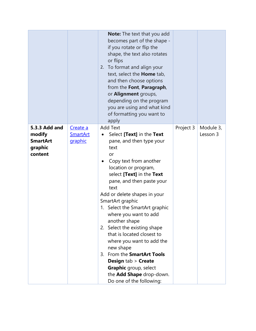|                                                                  |                                        | <b>Note:</b> The text that you add<br>becomes part of the shape -<br>if you rotate or flip the<br>shape, the text also rotates<br>or flips<br>2. To format and align your<br>text, select the <b>Home</b> tab,<br>and then choose options<br>from the Font, Paragraph,<br>or <b>Alignment</b> groups,<br>depending on the program<br>you are using and what kind<br>of formatting you want to<br>apply                                                                                                                                                                                                       |           |                       |
|------------------------------------------------------------------|----------------------------------------|--------------------------------------------------------------------------------------------------------------------------------------------------------------------------------------------------------------------------------------------------------------------------------------------------------------------------------------------------------------------------------------------------------------------------------------------------------------------------------------------------------------------------------------------------------------------------------------------------------------|-----------|-----------------------|
| 5.3.3 Add and<br>modify<br><b>SmartArt</b><br>graphic<br>content | Create a<br><b>SmartArt</b><br>graphic | <b>Add Text</b><br>Select [Text] in the Text<br>pane, and then type your<br>text<br>or<br>Copy text from another<br>location or program,<br>select [Text] in the Text<br>pane, and then paste your<br>text<br>Add or delete shapes in your<br>SmartArt graphic<br>1. Select the SmartArt graphic<br>where you want to add<br>another shape<br>2. Select the existing shape<br>that is located closest to<br>where you want to add the<br>new shape<br>From the SmartArt Tools<br>3.<br><b>Design tab &gt; Create</b><br><b>Graphic</b> group, select<br>the Add Shape drop-down.<br>Do one of the following: | Project 3 | Module 3,<br>Lesson 3 |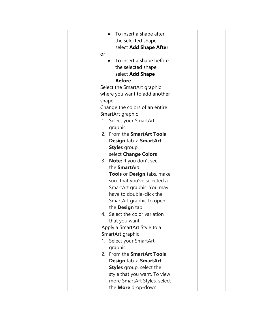| To insert a shape after                                                                                                                                                                                                                                                             |  |
|-------------------------------------------------------------------------------------------------------------------------------------------------------------------------------------------------------------------------------------------------------------------------------------|--|
|                                                                                                                                                                                                                                                                                     |  |
| the selected shape,                                                                                                                                                                                                                                                                 |  |
| select Add Shape After                                                                                                                                                                                                                                                              |  |
| or                                                                                                                                                                                                                                                                                  |  |
| To insert a shape before<br>$\bullet$                                                                                                                                                                                                                                               |  |
| the selected shape,                                                                                                                                                                                                                                                                 |  |
| select Add Shape                                                                                                                                                                                                                                                                    |  |
| <b>Before</b>                                                                                                                                                                                                                                                                       |  |
| Select the SmartArt graphic                                                                                                                                                                                                                                                         |  |
| where you want to add another                                                                                                                                                                                                                                                       |  |
| shape                                                                                                                                                                                                                                                                               |  |
| Change the colors of an entire                                                                                                                                                                                                                                                      |  |
|                                                                                                                                                                                                                                                                                     |  |
| SmartArt graphic                                                                                                                                                                                                                                                                    |  |
| 1. Select your SmartArt                                                                                                                                                                                                                                                             |  |
| graphic                                                                                                                                                                                                                                                                             |  |
| 2. From the SmartArt Tools                                                                                                                                                                                                                                                          |  |
| <b>Design tab &gt; SmartArt</b>                                                                                                                                                                                                                                                     |  |
| Styles group,                                                                                                                                                                                                                                                                       |  |
| select Change Colors                                                                                                                                                                                                                                                                |  |
| 3. Note: If you don't see                                                                                                                                                                                                                                                           |  |
| the SmartArt                                                                                                                                                                                                                                                                        |  |
| Tools or Design tabs, make                                                                                                                                                                                                                                                          |  |
| sure that you've selected a                                                                                                                                                                                                                                                         |  |
|                                                                                                                                                                                                                                                                                     |  |
|                                                                                                                                                                                                                                                                                     |  |
|                                                                                                                                                                                                                                                                                     |  |
|                                                                                                                                                                                                                                                                                     |  |
|                                                                                                                                                                                                                                                                                     |  |
|                                                                                                                                                                                                                                                                                     |  |
|                                                                                                                                                                                                                                                                                     |  |
|                                                                                                                                                                                                                                                                                     |  |
|                                                                                                                                                                                                                                                                                     |  |
|                                                                                                                                                                                                                                                                                     |  |
|                                                                                                                                                                                                                                                                                     |  |
|                                                                                                                                                                                                                                                                                     |  |
| <b>Design tab &gt; SmartArt</b>                                                                                                                                                                                                                                                     |  |
| <b>Styles</b> group, select the                                                                                                                                                                                                                                                     |  |
| style that you want. To view                                                                                                                                                                                                                                                        |  |
| more SmartArt Styles, select                                                                                                                                                                                                                                                        |  |
| the More drop-down                                                                                                                                                                                                                                                                  |  |
| SmartArt graphic. You may<br>have to double-click the<br>SmartArt graphic to open<br>the Design tab<br>4. Select the color variation<br>that you want<br>Apply a SmartArt Style to a<br>SmartArt graphic<br>1. Select your SmartArt<br>graphic<br>2. From the <b>SmartArt Tools</b> |  |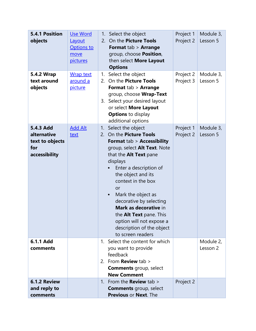| 5.4.1 Position<br>objects<br>5.4.2 Wrap<br>text around<br>objects   | <b>Use Word</b><br>Layout<br><b>Options to</b><br>move<br>pictures<br><b>Wrap text</b><br>around a<br><u>picture</u> | 1.<br>1.<br>3. | Select the object<br>2. On the Picture Tools<br><b>Format tab &gt; Arrange</b><br>group, choose Position,<br>then select More Layout<br><b>Options</b><br>Select the object<br>2. On the Picture Tools<br><b>Format tab &gt; Arrange</b><br>group, choose Wrap-Text<br>Select your desired layout<br>or select More Layout                                                                                                                    | Project 1<br>Project 2<br>Project 2<br>Project 3 | Module 3,<br>Lesson 5<br>Module 3,<br>Lesson 5 |
|---------------------------------------------------------------------|----------------------------------------------------------------------------------------------------------------------|----------------|-----------------------------------------------------------------------------------------------------------------------------------------------------------------------------------------------------------------------------------------------------------------------------------------------------------------------------------------------------------------------------------------------------------------------------------------------|--------------------------------------------------|------------------------------------------------|
|                                                                     |                                                                                                                      |                | <b>Options</b> to display<br>additional options                                                                                                                                                                                                                                                                                                                                                                                               |                                                  |                                                |
| 5.4.3 Add<br>alternative<br>text to objects<br>for<br>accessibility | <b>Add Alt</b><br>text                                                                                               | 1.             | Select the object<br>2. On the Picture Tools<br><b>Format tab &gt; Accessibility</b><br>group, select Alt Text. Note<br>that the Alt Text pane<br>displays<br>Enter a description of<br>the object and its<br>context in the box<br>or<br>Mark the object as<br>$\bullet$<br>decorative by selecting<br>Mark as decorative in<br>the <b>Alt Text</b> pane. This<br>option will not expose a<br>description of the object<br>to screen readers | Project 1<br>Project 2                           | Module 3,<br>Lesson 5                          |
| 6.1.1 Add<br>comments                                               |                                                                                                                      |                | 1. Select the content for which<br>you want to provide<br>feedback<br>2. From <b>Review</b> tab $>$<br><b>Comments</b> group, select<br><b>New Comment</b>                                                                                                                                                                                                                                                                                    |                                                  | Module 2,<br>Lesson 2                          |
| <b>6.1.2 Review</b><br>and reply to<br>comments                     |                                                                                                                      |                | 1. From the <b>Review</b> tab $>$<br><b>Comments</b> group, select<br>Previous or Next. The                                                                                                                                                                                                                                                                                                                                                   | Project 2                                        |                                                |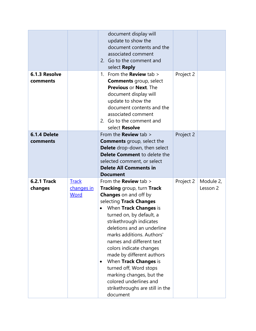| 6.1.3 Resolve                 |                                           | document display will<br>update to show the<br>document contents and the<br>associated comment<br>2. Go to the comment and<br>select <b>Reply</b><br>1. From the <b>Review</b> tab $>$                                                                                                                                                                                                                                                                                                                                     | Project 2 |                       |
|-------------------------------|-------------------------------------------|----------------------------------------------------------------------------------------------------------------------------------------------------------------------------------------------------------------------------------------------------------------------------------------------------------------------------------------------------------------------------------------------------------------------------------------------------------------------------------------------------------------------------|-----------|-----------------------|
| comments                      |                                           | <b>Comments</b> group, select<br>Previous or Next. The<br>document display will<br>update to show the<br>document contents and the<br>associated comment<br>2. Go to the comment and<br>select Resolve                                                                                                                                                                                                                                                                                                                     |           |                       |
| 6.1.4 Delete<br>comments      |                                           | From the <b>Review</b> tab ><br><b>Comments</b> group, select the<br>Delete drop-down, then select<br><b>Delete Comment to delete the</b><br>selected comment, or select<br><b>Delete All Comments in</b><br><b>Document</b>                                                                                                                                                                                                                                                                                               | Project 2 |                       |
| <b>6.2.1 Track</b><br>changes | <b>Track</b><br>changes in<br><b>Word</b> | From the <b>Review</b> tab $>$<br><b>Tracking group, turn Track</b><br><b>Changes</b> on and off by<br>selecting Track Changes<br>When Track Changes is<br>turned on, by default, a<br>strikethrough indicates<br>deletions and an underline<br>marks additions. Authors'<br>names and different text<br>colors indicate changes<br>made by different authors<br>When Track Changes is<br>٠<br>turned off, Word stops<br>marking changes, but the<br>colored underlines and<br>strikethroughs are still in the<br>document | Project 2 | Module 2,<br>Lesson 2 |